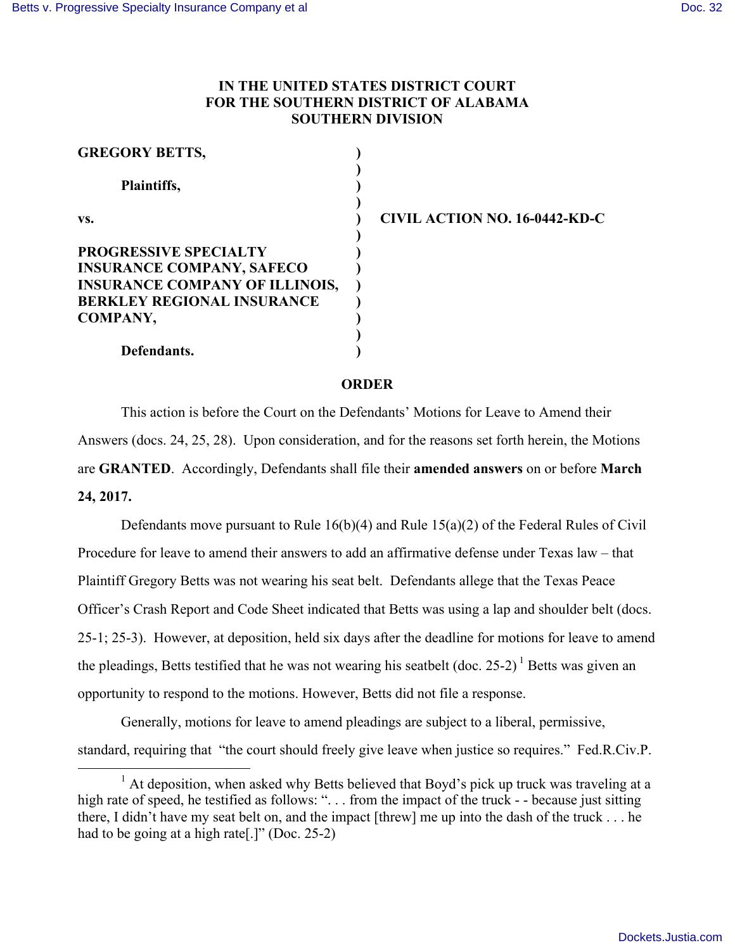## **IN THE UNITED STATES DISTRICT COURT FOR THE SOUTHERN DISTRICT OF ALABAMA SOUTHERN DIVISION**

| <b>GREGORY BETTS,</b>                 |                               |
|---------------------------------------|-------------------------------|
| Plaintiffs,                           |                               |
| VS.                                   | CIVIL ACTION NO. 16-0442-KD-C |
| <b>PROGRESSIVE SPECIALTY</b>          |                               |
| <b>INSURANCE COMPANY, SAFECO</b>      |                               |
| <b>INSURANCE COMPANY OF ILLINOIS,</b> |                               |
| <b>BERKLEY REGIONAL INSURANCE</b>     |                               |
| COMPANY,                              |                               |
|                                       |                               |
| Defendants.                           |                               |

## **ORDER**

This action is before the Court on the Defendants' Motions for Leave to Amend their Answers (docs. 24, 25, 28). Upon consideration, and for the reasons set forth herein, the Motions are **GRANTED**. Accordingly, Defendants shall file their **amended answers** on or before **March 24, 2017.**

Defendants move pursuant to Rule  $16(b)(4)$  and Rule  $15(a)(2)$  of the Federal Rules of Civil Procedure for leave to amend their answers to add an affirmative defense under Texas law – that Plaintiff Gregory Betts was not wearing his seat belt. Defendants allege that the Texas Peace Officer's Crash Report and Code Sheet indicated that Betts was using a lap and shoulder belt (docs. 25-1; 25-3). However, at deposition, held six days after the deadline for motions for leave to amend the pleadings, Betts testified that he was not wearing his seatbelt (doc.  $25-2$ )<sup>1</sup> Betts was given an opportunity to respond to the motions. However, Betts did not file a response.

Generally, motions for leave to amend pleadings are subject to a liberal, permissive, standard, requiring that "the court should freely give leave when justice so requires." Fed.R.Civ.P.

<sup>&</sup>lt;sup>1</sup> At deposition, when asked why Betts believed that Boyd's pick up truck was traveling at a high rate of speed, he testified as follows: ". . . from the impact of the truck - - because just sitting there, I didn't have my seat belt on, and the impact [threw] me up into the dash of the truck . . . he had to be going at a high rate[.]" (Doc. 25-2)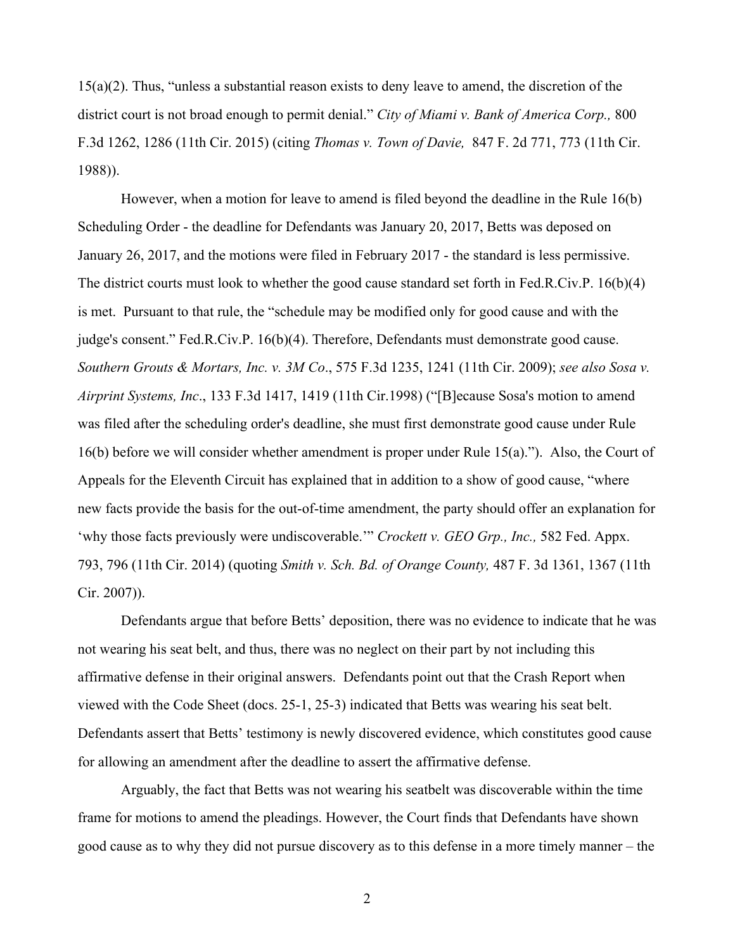15(a)(2). Thus, "unless a substantial reason exists to deny leave to amend, the discretion of the district court is not broad enough to permit denial." *City of Miami v. Bank of America Corp.,* 800 F.3d 1262, 1286 (11th Cir. 2015) (citing *Thomas v. Town of Davie,* 847 F. 2d 771, 773 (11th Cir. 1988)).

However, when a motion for leave to amend is filed beyond the deadline in the Rule 16(b) Scheduling Order - the deadline for Defendants was January 20, 2017, Betts was deposed on January 26, 2017, and the motions were filed in February 2017 - the standard is less permissive. The district courts must look to whether the good cause standard set forth in Fed.R.Civ.P. 16(b)(4) is met. Pursuant to that rule, the "schedule may be modified only for good cause and with the judge's consent." Fed.R.Civ.P. 16(b)(4). Therefore, Defendants must demonstrate good cause. *Southern Grouts & Mortars, Inc. v. 3M Co*., 575 F.3d 1235, 1241 (11th Cir. 2009); *see also Sosa v. Airprint Systems, Inc*., 133 F.3d 1417, 1419 (11th Cir.1998) ("[B]ecause Sosa's motion to amend was filed after the scheduling order's deadline, she must first demonstrate good cause under Rule 16(b) before we will consider whether amendment is proper under Rule 15(a)."). Also, the Court of Appeals for the Eleventh Circuit has explained that in addition to a show of good cause, "where new facts provide the basis for the out-of-time amendment, the party should offer an explanation for 'why those facts previously were undiscoverable.'" *Crockett v. GEO Grp., Inc.,* 582 Fed. Appx. 793, 796 (11th Cir. 2014) (quoting *Smith v. Sch. Bd. of Orange County,* 487 F. 3d 1361, 1367 (11th Cir. 2007)).

Defendants argue that before Betts' deposition, there was no evidence to indicate that he was not wearing his seat belt, and thus, there was no neglect on their part by not including this affirmative defense in their original answers. Defendants point out that the Crash Report when viewed with the Code Sheet (docs. 25-1, 25-3) indicated that Betts was wearing his seat belt. Defendants assert that Betts' testimony is newly discovered evidence, which constitutes good cause for allowing an amendment after the deadline to assert the affirmative defense.

Arguably, the fact that Betts was not wearing his seatbelt was discoverable within the time frame for motions to amend the pleadings. However, the Court finds that Defendants have shown good cause as to why they did not pursue discovery as to this defense in a more timely manner – the